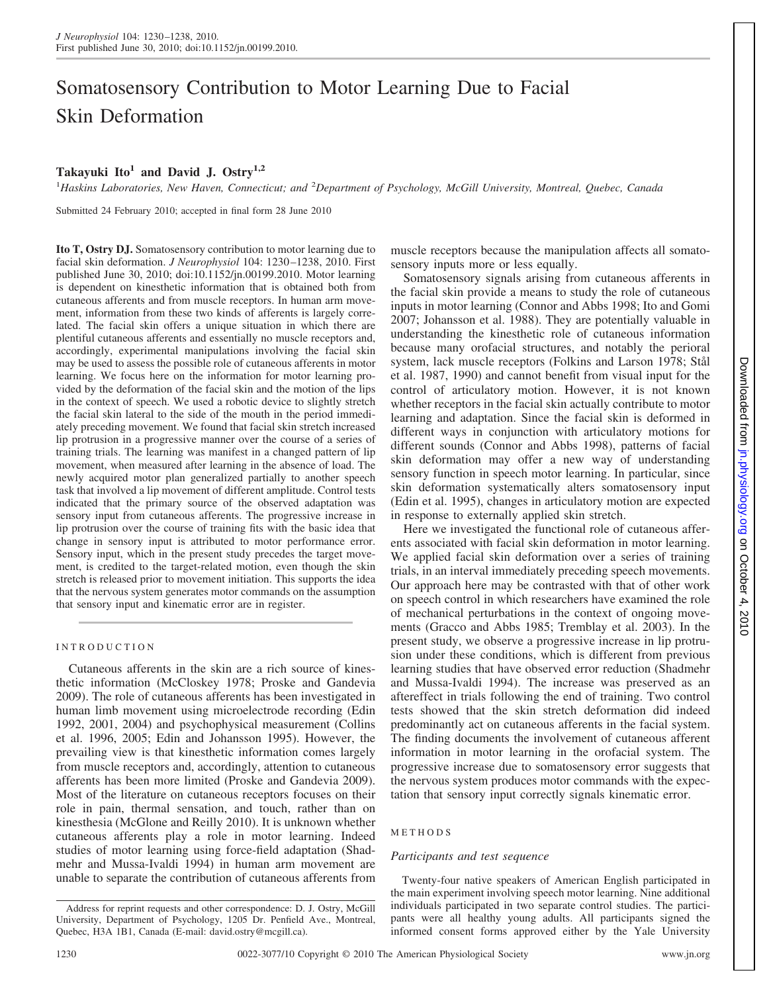# Somatosensory Contribution to Motor Learning Due to Facial Skin Deformation

## **Takayuki Ito<sup>1</sup> and David J. Ostry1,2**

<sup>1</sup> Haskins Laboratories, New Haven, Connecticut; and <sup>2</sup>Department of Psychology, McGill University, Montreal, Quebec, Canada

Submitted 24 February 2010; accepted in final form 28 June 2010

**Ito T, Ostry DJ.** Somatosensory contribution to motor learning due to facial skin deformation. *J Neurophysiol* 104: 1230 –1238, 2010. First published June 30, 2010; doi:10.1152/jn.00199.2010. Motor learning is dependent on kinesthetic information that is obtained both from cutaneous afferents and from muscle receptors. In human arm movement, information from these two kinds of afferents is largely correlated. The facial skin offers a unique situation in which there are plentiful cutaneous afferents and essentially no muscle receptors and, accordingly, experimental manipulations involving the facial skin may be used to assess the possible role of cutaneous afferents in motor learning. We focus here on the information for motor learning provided by the deformation of the facial skin and the motion of the lips in the context of speech. We used a robotic device to slightly stretch the facial skin lateral to the side of the mouth in the period immediately preceding movement. We found that facial skin stretch increased lip protrusion in a progressive manner over the course of a series of training trials. The learning was manifest in a changed pattern of lip movement, when measured after learning in the absence of load. The newly acquired motor plan generalized partially to another speech task that involved a lip movement of different amplitude. Control tests indicated that the primary source of the observed adaptation was sensory input from cutaneous afferents. The progressive increase in lip protrusion over the course of training fits with the basic idea that change in sensory input is attributed to motor performance error. Sensory input, which in the present study precedes the target movement, is credited to the target-related motion, even though the skin stretch is released prior to movement initiation. This supports the idea that the nervous system generates motor commands on the assumption that sensory input and kinematic error are in register.

## INTRODUCTION

Cutaneous afferents in the skin are a rich source of kinesthetic information (McCloskey 1978; Proske and Gandevia 2009). The role of cutaneous afferents has been investigated in human limb movement using microelectrode recording (Edin 1992, 2001, 2004) and psychophysical measurement (Collins et al. 1996, 2005; Edin and Johansson 1995). However, the prevailing view is that kinesthetic information comes largely from muscle receptors and, accordingly, attention to cutaneous afferents has been more limited (Proske and Gandevia 2009). Most of the literature on cutaneous receptors focuses on their role in pain, thermal sensation, and touch, rather than on kinesthesia (McGlone and Reilly 2010). It is unknown whether cutaneous afferents play a role in motor learning. Indeed studies of motor learning using force-field adaptation (Shadmehr and Mussa-Ivaldi 1994) in human arm movement are unable to separate the contribution of cutaneous afferents from muscle receptors because the manipulation affects all somatosensory inputs more or less equally.

Somatosensory signals arising from cutaneous afferents in the facial skin provide a means to study the role of cutaneous inputs in motor learning (Connor and Abbs 1998; Ito and Gomi 2007; Johansson et al. 1988). They are potentially valuable in understanding the kinesthetic role of cutaneous information because many orofacial structures, and notably the perioral system, lack muscle receptors (Folkins and Larson 1978; Stål et al. 1987, 1990) and cannot benefit from visual input for the control of articulatory motion. However, it is not known whether receptors in the facial skin actually contribute to motor learning and adaptation. Since the facial skin is deformed in different ways in conjunction with articulatory motions for different sounds (Connor and Abbs 1998), patterns of facial skin deformation may offer a new way of understanding sensory function in speech motor learning. In particular, since skin deformation systematically alters somatosensory input (Edin et al. 1995), changes in articulatory motion are expected in response to externally applied skin stretch.

Here we investigated the functional role of cutaneous afferents associated with facial skin deformation in motor learning. We applied facial skin deformation over a series of training trials, in an interval immediately preceding speech movements. Our approach here may be contrasted with that of other work on speech control in which researchers have examined the role of mechanical perturbations in the context of ongoing movements (Gracco and Abbs 1985; Tremblay et al. 2003). In the present study, we observe a progressive increase in lip protrusion under these conditions, which is different from previous learning studies that have observed error reduction (Shadmehr and Mussa-Ivaldi 1994). The increase was preserved as an aftereffect in trials following the end of training. Two control tests showed that the skin stretch deformation did indeed predominantly act on cutaneous afferents in the facial system. The finding documents the involvement of cutaneous afferent information in motor learning in the orofacial system. The progressive increase due to somatosensory error suggests that the nervous system produces motor commands with the expectation that sensory input correctly signals kinematic error.

## METHODS

## *Participants and test sequence*

Twenty-four native speakers of American English participated in the main experiment involving speech motor learning. Nine additional individuals participated in two separate control studies. The participants were all healthy young adults. All participants signed the informed consent forms approved either by the Yale University

Address for reprint requests and other correspondence: D. J. Ostry, McGill University, Department of Psychology, 1205 Dr. Penfield Ave., Montreal, Quebec, H3A 1B1, Canada (E-mail: david.ostry@mcgill.ca).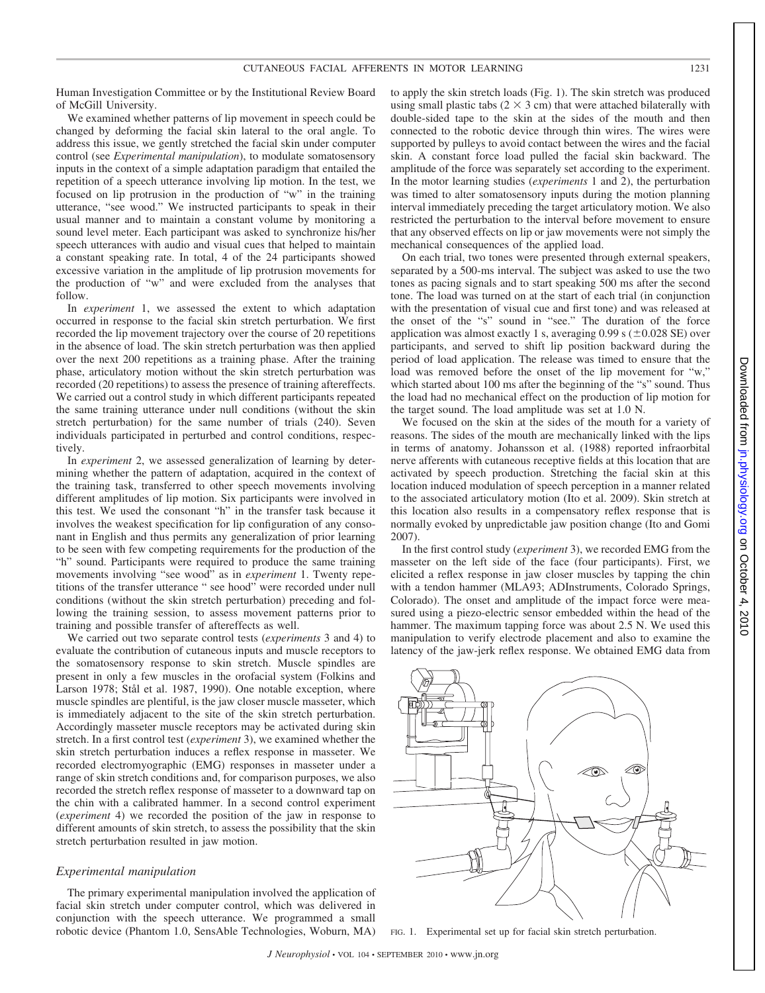Human Investigation Committee or by the Institutional Review Board of McGill University.

We examined whether patterns of lip movement in speech could be changed by deforming the facial skin lateral to the oral angle. To address this issue, we gently stretched the facial skin under computer control (see *Experimental manipulation*), to modulate somatosensory inputs in the context of a simple adaptation paradigm that entailed the repetition of a speech utterance involving lip motion. In the test, we focused on lip protrusion in the production of "w" in the training utterance, "see wood." We instructed participants to speak in their usual manner and to maintain a constant volume by monitoring a sound level meter. Each participant was asked to synchronize his/her speech utterances with audio and visual cues that helped to maintain a constant speaking rate. In total, 4 of the 24 participants showed excessive variation in the amplitude of lip protrusion movements for the production of "w" and were excluded from the analyses that follow.

In *experiment* 1, we assessed the extent to which adaptation occurred in response to the facial skin stretch perturbation. We first recorded the lip movement trajectory over the course of 20 repetitions in the absence of load. The skin stretch perturbation was then applied over the next 200 repetitions as a training phase. After the training phase, articulatory motion without the skin stretch perturbation was recorded (20 repetitions) to assess the presence of training aftereffects. We carried out a control study in which different participants repeated the same training utterance under null conditions (without the skin stretch perturbation) for the same number of trials (240). Seven individuals participated in perturbed and control conditions, respectively.

In *experiment* 2, we assessed generalization of learning by determining whether the pattern of adaptation, acquired in the context of the training task, transferred to other speech movements involving different amplitudes of lip motion. Six participants were involved in this test. We used the consonant "h" in the transfer task because it involves the weakest specification for lip configuration of any consonant in English and thus permits any generalization of prior learning to be seen with few competing requirements for the production of the "h" sound. Participants were required to produce the same training movements involving "see wood" as in *experiment* 1. Twenty repetitions of the transfer utterance " see hood" were recorded under null conditions (without the skin stretch perturbation) preceding and following the training session, to assess movement patterns prior to training and possible transfer of aftereffects as well.

We carried out two separate control tests (*experiments* 3 and 4) to evaluate the contribution of cutaneous inputs and muscle receptors to the somatosensory response to skin stretch. Muscle spindles are present in only a few muscles in the orofacial system (Folkins and Larson 1978; Stål et al. 1987, 1990). One notable exception, where muscle spindles are plentiful, is the jaw closer muscle masseter, which is immediately adjacent to the site of the skin stretch perturbation. Accordingly masseter muscle receptors may be activated during skin stretch. In a first control test (*experiment* 3), we examined whether the skin stretch perturbation induces a reflex response in masseter. We recorded electromyographic (EMG) responses in masseter under a range of skin stretch conditions and, for comparison purposes, we also recorded the stretch reflex response of masseter to a downward tap on the chin with a calibrated hammer. In a second control experiment (*experiment* 4) we recorded the position of the jaw in response to different amounts of skin stretch, to assess the possibility that the skin stretch perturbation resulted in jaw motion.

## *Experimental manipulation*

The primary experimental manipulation involved the application of facial skin stretch under computer control, which was delivered in conjunction with the speech utterance. We programmed a small robotic device (Phantom 1.0, SensAble Technologies, Woburn, MA) to apply the skin stretch loads (Fig. 1). The skin stretch was produced using small plastic tabs  $(2 \times 3$  cm) that were attached bilaterally with double-sided tape to the skin at the sides of the mouth and then connected to the robotic device through thin wires. The wires were supported by pulleys to avoid contact between the wires and the facial skin. A constant force load pulled the facial skin backward. The amplitude of the force was separately set according to the experiment. In the motor learning studies (*experiments* 1 and 2), the perturbation was timed to alter somatosensory inputs during the motion planning interval immediately preceding the target articulatory motion. We also restricted the perturbation to the interval before movement to ensure that any observed effects on lip or jaw movements were not simply the mechanical consequences of the applied load.

On each trial, two tones were presented through external speakers, separated by a 500-ms interval. The subject was asked to use the two tones as pacing signals and to start speaking 500 ms after the second tone. The load was turned on at the start of each trial (in conjunction with the presentation of visual cue and first tone) and was released at the onset of the "s" sound in "see." The duration of the force application was almost exactly 1 s, averaging  $0.99$  s ( $\pm 0.028$  SE) over participants, and served to shift lip position backward during the period of load application. The release was timed to ensure that the load was removed before the onset of the lip movement for "w," which started about 100 ms after the beginning of the "s" sound. Thus the load had no mechanical effect on the production of lip motion for the target sound. The load amplitude was set at 1.0 N.

We focused on the skin at the sides of the mouth for a variety of reasons. The sides of the mouth are mechanically linked with the lips in terms of anatomy. Johansson et al. (1988) reported infraorbital nerve afferents with cutaneous receptive fields at this location that are activated by speech production. Stretching the facial skin at this location induced modulation of speech perception in a manner related to the associated articulatory motion (Ito et al. 2009). Skin stretch at this location also results in a compensatory reflex response that is normally evoked by unpredictable jaw position change (Ito and Gomi 2007).

In the first control study (*experiment* 3), we recorded EMG from the masseter on the left side of the face (four participants). First, we elicited a reflex response in jaw closer muscles by tapping the chin with a tendon hammer (MLA93; ADInstruments, Colorado Springs, Colorado). The onset and amplitude of the impact force were measured using a piezo-electric sensor embedded within the head of the hammer. The maximum tapping force was about 2.5 N. We used this manipulation to verify electrode placement and also to examine the latency of the jaw-jerk reflex response. We obtained EMG data from



FIG. 1. Experimental set up for facial skin stretch perturbation.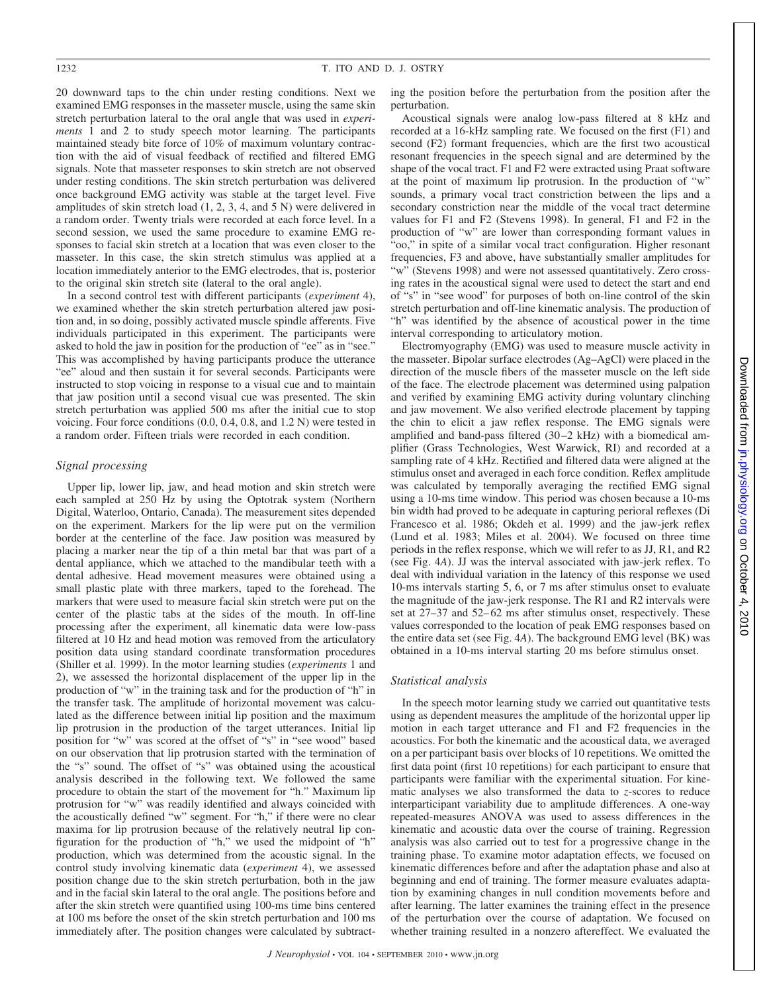20 downward taps to the chin under resting conditions. Next we examined EMG responses in the masseter muscle, using the same skin stretch perturbation lateral to the oral angle that was used in *experiments* 1 and 2 to study speech motor learning. The participants maintained steady bite force of 10% of maximum voluntary contraction with the aid of visual feedback of rectified and filtered EMG signals. Note that masseter responses to skin stretch are not observed under resting conditions. The skin stretch perturbation was delivered once background EMG activity was stable at the target level. Five amplitudes of skin stretch load  $(1, 2, 3, 4, \text{ and } 5 \text{ N})$  were delivered in a random order. Twenty trials were recorded at each force level. In a second session, we used the same procedure to examine EMG responses to facial skin stretch at a location that was even closer to the masseter. In this case, the skin stretch stimulus was applied at a location immediately anterior to the EMG electrodes, that is, posterior to the original skin stretch site (lateral to the oral angle).

In a second control test with different participants (*experiment* 4), we examined whether the skin stretch perturbation altered jaw position and, in so doing, possibly activated muscle spindle afferents. Five individuals participated in this experiment. The participants were asked to hold the jaw in position for the production of "ee" as in "see." This was accomplished by having participants produce the utterance "ee" aloud and then sustain it for several seconds. Participants were instructed to stop voicing in response to a visual cue and to maintain that jaw position until a second visual cue was presented. The skin stretch perturbation was applied 500 ms after the initial cue to stop voicing. Four force conditions (0.0, 0.4, 0.8, and 1.2 N) were tested in a random order. Fifteen trials were recorded in each condition.

#### *Signal processing*

Upper lip, lower lip, jaw, and head motion and skin stretch were each sampled at 250 Hz by using the Optotrak system (Northern Digital, Waterloo, Ontario, Canada). The measurement sites depended on the experiment. Markers for the lip were put on the vermilion border at the centerline of the face. Jaw position was measured by placing a marker near the tip of a thin metal bar that was part of a dental appliance, which we attached to the mandibular teeth with a dental adhesive. Head movement measures were obtained using a small plastic plate with three markers, taped to the forehead. The markers that were used to measure facial skin stretch were put on the center of the plastic tabs at the sides of the mouth. In off-line processing after the experiment, all kinematic data were low-pass filtered at 10 Hz and head motion was removed from the articulatory position data using standard coordinate transformation procedures (Shiller et al. 1999). In the motor learning studies (*experiments* 1 and 2), we assessed the horizontal displacement of the upper lip in the production of "w" in the training task and for the production of "h" in the transfer task. The amplitude of horizontal movement was calculated as the difference between initial lip position and the maximum lip protrusion in the production of the target utterances. Initial lip position for "w" was scored at the offset of "s" in "see wood" based on our observation that lip protrusion started with the termination of the "s" sound. The offset of "s" was obtained using the acoustical analysis described in the following text. We followed the same procedure to obtain the start of the movement for "h." Maximum lip protrusion for "w" was readily identified and always coincided with the acoustically defined "w" segment. For "h," if there were no clear maxima for lip protrusion because of the relatively neutral lip configuration for the production of "h," we used the midpoint of "h" production, which was determined from the acoustic signal. In the control study involving kinematic data (*experiment* 4), we assessed position change due to the skin stretch perturbation, both in the jaw and in the facial skin lateral to the oral angle. The positions before and after the skin stretch were quantified using 100-ms time bins centered at 100 ms before the onset of the skin stretch perturbation and 100 ms immediately after. The position changes were calculated by subtracting the position before the perturbation from the position after the perturbation.

Acoustical signals were analog low-pass filtered at 8 kHz and recorded at a 16-kHz sampling rate. We focused on the first (F1) and second (F2) formant frequencies, which are the first two acoustical resonant frequencies in the speech signal and are determined by the shape of the vocal tract. F1 and F2 were extracted using Praat software at the point of maximum lip protrusion. In the production of "w" sounds, a primary vocal tract constriction between the lips and a secondary constriction near the middle of the vocal tract determine values for F1 and F2 (Stevens 1998). In general, F1 and F2 in the production of "w" are lower than corresponding formant values in "oo," in spite of a similar vocal tract configuration. Higher resonant frequencies, F3 and above, have substantially smaller amplitudes for "w" (Stevens 1998) and were not assessed quantitatively. Zero crossing rates in the acoustical signal were used to detect the start and end of "s" in "see wood" for purposes of both on-line control of the skin stretch perturbation and off-line kinematic analysis. The production of "h" was identified by the absence of acoustical power in the time interval corresponding to articulatory motion.

Electromyography (EMG) was used to measure muscle activity in the masseter. Bipolar surface electrodes (Ag–AgCl) were placed in the direction of the muscle fibers of the masseter muscle on the left side of the face. The electrode placement was determined using palpation and verified by examining EMG activity during voluntary clinching and jaw movement. We also verified electrode placement by tapping the chin to elicit a jaw reflex response. The EMG signals were amplified and band-pass filtered (30 –2 kHz) with a biomedical amplifier (Grass Technologies, West Warwick, RI) and recorded at a sampling rate of 4 kHz. Rectified and filtered data were aligned at the stimulus onset and averaged in each force condition. Reflex amplitude was calculated by temporally averaging the rectified EMG signal using a 10-ms time window. This period was chosen because a 10-ms bin width had proved to be adequate in capturing perioral reflexes (Di Francesco et al. 1986; Okdeh et al. 1999) and the jaw-jerk reflex (Lund et al. 1983; Miles et al. 2004). We focused on three time periods in the reflex response, which we will refer to as JJ, R1, and R2 (see Fig. 4*A*). JJ was the interval associated with jaw-jerk reflex. To deal with individual variation in the latency of this response we used 10-ms intervals starting 5, 6, or 7 ms after stimulus onset to evaluate the magnitude of the jaw-jerk response. The R1 and R2 intervals were set at 27–37 and 52–62 ms after stimulus onset, respectively. These values corresponded to the location of peak EMG responses based on the entire data set (see Fig. 4*A*). The background EMG level (BK) was obtained in a 10-ms interval starting 20 ms before stimulus onset.

#### *Statistical analysis*

In the speech motor learning study we carried out quantitative tests using as dependent measures the amplitude of the horizontal upper lip motion in each target utterance and F1 and F2 frequencies in the acoustics. For both the kinematic and the acoustical data, we averaged on a per participant basis over blocks of 10 repetitions. We omitted the first data point (first 10 repetitions) for each participant to ensure that participants were familiar with the experimental situation. For kinematic analyses we also transformed the data to *z*-scores to reduce interparticipant variability due to amplitude differences. A one-way repeated-measures ANOVA was used to assess differences in the kinematic and acoustic data over the course of training. Regression analysis was also carried out to test for a progressive change in the training phase. To examine motor adaptation effects, we focused on kinematic differences before and after the adaptation phase and also at beginning and end of training. The former measure evaluates adaptation by examining changes in null condition movements before and after learning. The latter examines the training effect in the presence of the perturbation over the course of adaptation. We focused on whether training resulted in a nonzero aftereffect. We evaluated the

Downloaded

from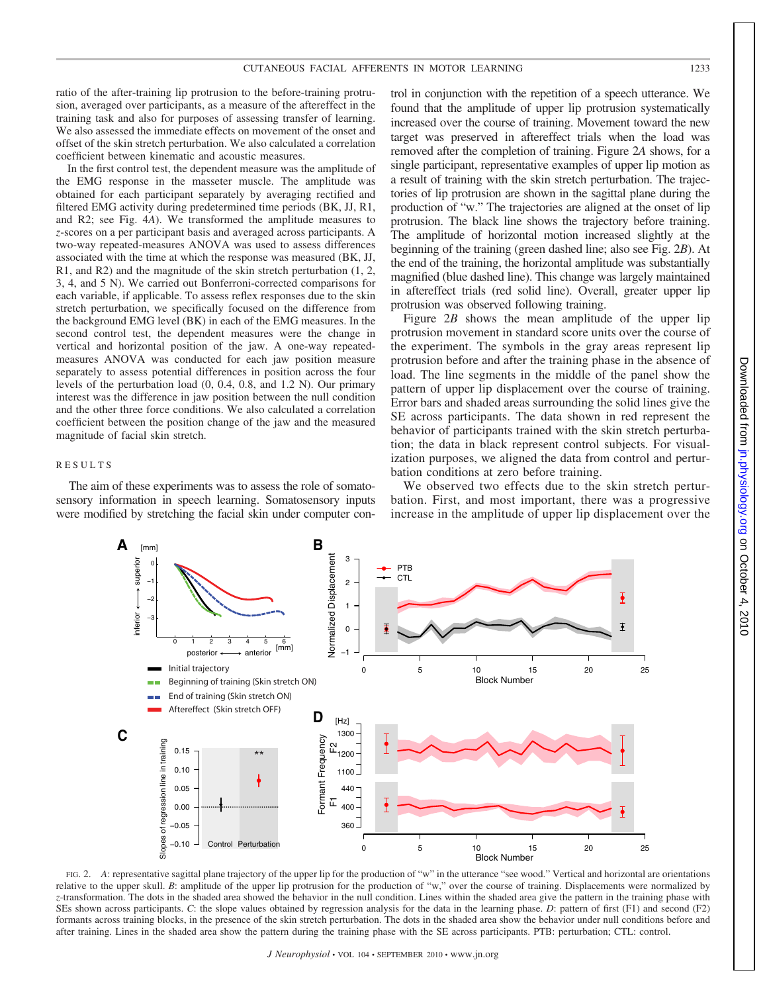ratio of the after-training lip protrusion to the before-training protrusion, averaged over participants, as a measure of the aftereffect in the training task and also for purposes of assessing transfer of learning. We also assessed the immediate effects on movement of the onset and offset of the skin stretch perturbation. We also calculated a correlation coefficient between kinematic and acoustic measures.

In the first control test, the dependent measure was the amplitude of the EMG response in the masseter muscle. The amplitude was obtained for each participant separately by averaging rectified and filtered EMG activity during predetermined time periods (BK, JJ, R1, and R2; see Fig. 4*A*). We transformed the amplitude measures to *z*-scores on a per participant basis and averaged across participants. A two-way repeated-measures ANOVA was used to assess differences associated with the time at which the response was measured (BK, JJ, R1, and R2) and the magnitude of the skin stretch perturbation (1, 2, 3, 4, and 5 N). We carried out Bonferroni-corrected comparisons for each variable, if applicable. To assess reflex responses due to the skin stretch perturbation, we specifically focused on the difference from the background EMG level (BK) in each of the EMG measures. In the second control test, the dependent measures were the change in vertical and horizontal position of the jaw. A one-way repeatedmeasures ANOVA was conducted for each jaw position measure separately to assess potential differences in position across the four levels of the perturbation load (0, 0.4, 0.8, and 1.2 N). Our primary interest was the difference in jaw position between the null condition and the other three force conditions. We also calculated a correlation coefficient between the position change of the jaw and the measured magnitude of facial skin stretch.

## RESULTS

The aim of these experiments was to assess the role of somatosensory information in speech learning. Somatosensory inputs were modified by stretching the facial skin under computer control in conjunction with the repetition of a speech utterance. We found that the amplitude of upper lip protrusion systematically increased over the course of training. Movement toward the new target was preserved in aftereffect trials when the load was removed after the completion of training. Figure 2*A* shows, for a single participant, representative examples of upper lip motion as a result of training with the skin stretch perturbation. The trajectories of lip protrusion are shown in the sagittal plane during the production of "w." The trajectories are aligned at the onset of lip protrusion. The black line shows the trajectory before training. The amplitude of horizontal motion increased slightly at the beginning of the training (green dashed line; also see Fig. 2*B*). At the end of the training, the horizontal amplitude was substantially magnified (blue dashed line). This change was largely maintained in aftereffect trials (red solid line). Overall, greater upper lip protrusion was observed following training.

Figure 2*B* shows the mean amplitude of the upper lip protrusion movement in standard score units over the course of the experiment. The symbols in the gray areas represent lip protrusion before and after the training phase in the absence of load. The line segments in the middle of the panel show the pattern of upper lip displacement over the course of training. Error bars and shaded areas surrounding the solid lines give the SE across participants. The data shown in red represent the behavior of participants trained with the skin stretch perturbation; the data in black represent control subjects. For visualization purposes, we aligned the data from control and perturbation conditions at zero before training.

We observed two effects due to the skin stretch perturbation. First, and most important, there was a progressive increase in the amplitude of upper lip displacement over the



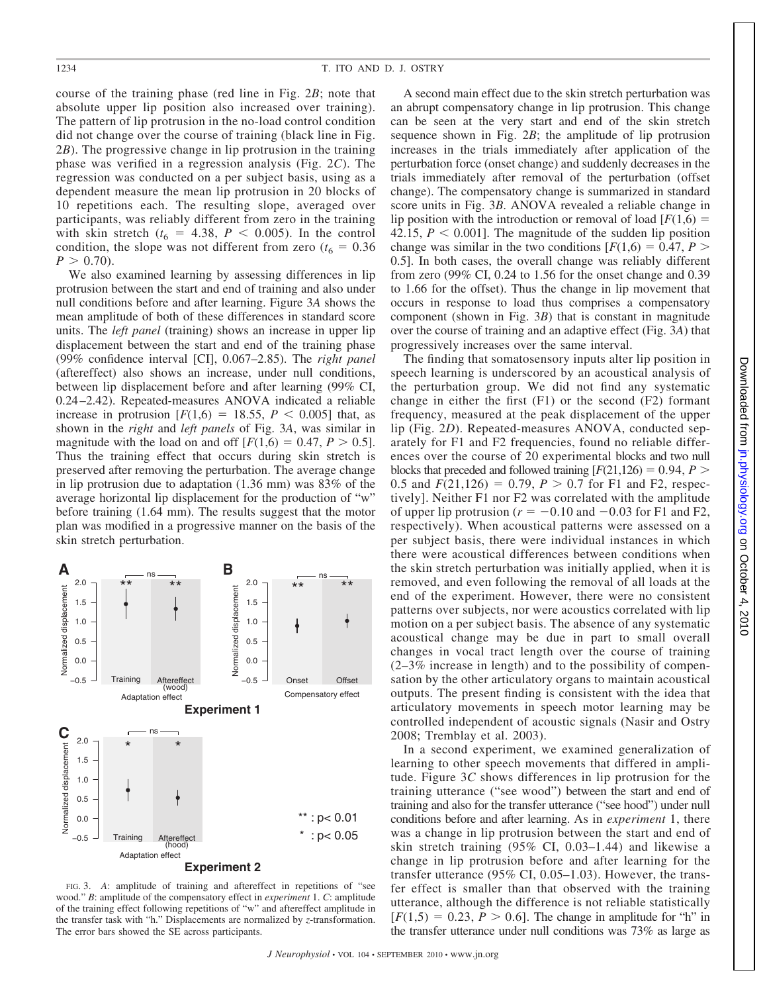course of the training phase (red line in Fig. 2*B*; note that absolute upper lip position also increased over training). The pattern of lip protrusion in the no-load control condition did not change over the course of training (black line in Fig. 2*B*). The progressive change in lip protrusion in the training phase was verified in a regression analysis (Fig. 2*C*). The regression was conducted on a per subject basis, using as a dependent measure the mean lip protrusion in 20 blocks of 10 repetitions each. The resulting slope, averaged over participants, was reliably different from zero in the training with skin stretch ( $t_6 = 4.38$ ,  $P < 0.005$ ). In the control condition, the slope was not different from zero ( $t_6 = 0.36$ )  $P > 0.70$ ).

We also examined learning by assessing differences in lip protrusion between the start and end of training and also under null conditions before and after learning. Figure 3*A* shows the mean amplitude of both of these differences in standard score units. The *left panel* (training) shows an increase in upper lip displacement between the start and end of the training phase (99% confidence interval [CI], 0.067–2.85). The *right panel* (aftereffect) also shows an increase, under null conditions, between lip displacement before and after learning (99% CI, 0.24 –2.42). Repeated-measures ANOVA indicated a reliable increase in protrusion  $[F(1,6) = 18.55, P < 0.005]$  that, as shown in the *right* and *left panels* of Fig. 3*A*, was similar in magnitude with the load on and off  $[F(1,6) = 0.47, P > 0.5]$ . Thus the training effect that occurs during skin stretch is preserved after removing the perturbation. The average change in lip protrusion due to adaptation (1.36 mm) was 83% of the average horizontal lip displacement for the production of "w" before training (1.64 mm). The results suggest that the motor plan was modified in a progressive manner on the basis of the skin stretch perturbation.



FIG. 3. *A*: amplitude of training and aftereffect in repetitions of "see wood." *B*: amplitude of the compensatory effect in *experiment* 1. *C*: amplitude of the training effect following repetitions of "w" and aftereffect amplitude in the transfer task with "h." Displacements are normalized by *z*-transformation. The error bars showed the SE across participants.

A second main effect due to the skin stretch perturbation was an abrupt compensatory change in lip protrusion. This change can be seen at the very start and end of the skin stretch sequence shown in Fig. 2*B*; the amplitude of lip protrusion increases in the trials immediately after application of the perturbation force (onset change) and suddenly decreases in the trials immediately after removal of the perturbation (offset change). The compensatory change is summarized in standard score units in Fig. 3*B*. ANOVA revealed a reliable change in lip position with the introduction or removal of load  $[F(1,6) =$ 42.15,  $P \le 0.001$ . The magnitude of the sudden lip position change was similar in the two conditions  $[F(1,6) = 0.47, P >$ 0.5]. In both cases, the overall change was reliably different from zero (99% CI, 0.24 to 1.56 for the onset change and 0.39 to 1.66 for the offset). Thus the change in lip movement that occurs in response to load thus comprises a compensatory component (shown in Fig. 3*B*) that is constant in magnitude over the course of training and an adaptive effect (Fig. 3*A*) that progressively increases over the same interval.

The finding that somatosensory inputs alter lip position in speech learning is underscored by an acoustical analysis of the perturbation group. We did not find any systematic change in either the first (F1) or the second (F2) formant frequency, measured at the peak displacement of the upper lip (Fig. 2*D*). Repeated-measures ANOVA, conducted separately for F1 and F2 frequencies, found no reliable differences over the course of 20 experimental blocks and two null blocks that preceded and followed training  $[F(21,126) = 0.94, P >$ 0.5 and  $F(21,126) = 0.79$ ,  $P > 0.7$  for F1 and F2, respectively]. Neither F1 nor F2 was correlated with the amplitude of upper lip protrusion ( $r = -0.10$  and  $-0.03$  for F1 and F2, respectively). When acoustical patterns were assessed on a per subject basis, there were individual instances in which there were acoustical differences between conditions when the skin stretch perturbation was initially applied, when it is removed, and even following the removal of all loads at the end of the experiment. However, there were no consistent patterns over subjects, nor were acoustics correlated with lip motion on a per subject basis. The absence of any systematic acoustical change may be due in part to small overall changes in vocal tract length over the course of training (2–3% increase in length) and to the possibility of compensation by the other articulatory organs to maintain acoustical outputs. The present finding is consistent with the idea that articulatory movements in speech motor learning may be controlled independent of acoustic signals (Nasir and Ostry 2008; Tremblay et al. 2003).

In a second experiment, we examined generalization of learning to other speech movements that differed in amplitude. Figure 3*C* shows differences in lip protrusion for the training utterance ("see wood") between the start and end of training and also for the transfer utterance ("see hood") under null conditions before and after learning. As in *experiment* 1, there was a change in lip protrusion between the start and end of skin stretch training (95% CI, 0.03–1.44) and likewise a change in lip protrusion before and after learning for the transfer utterance (95% CI, 0.05–1.03). However, the transfer effect is smaller than that observed with the training utterance, although the difference is not reliable statistically  $[F(1,5) = 0.23, P > 0.6]$ . The change in amplitude for "h" in the transfer utterance under null conditions was 73% as large as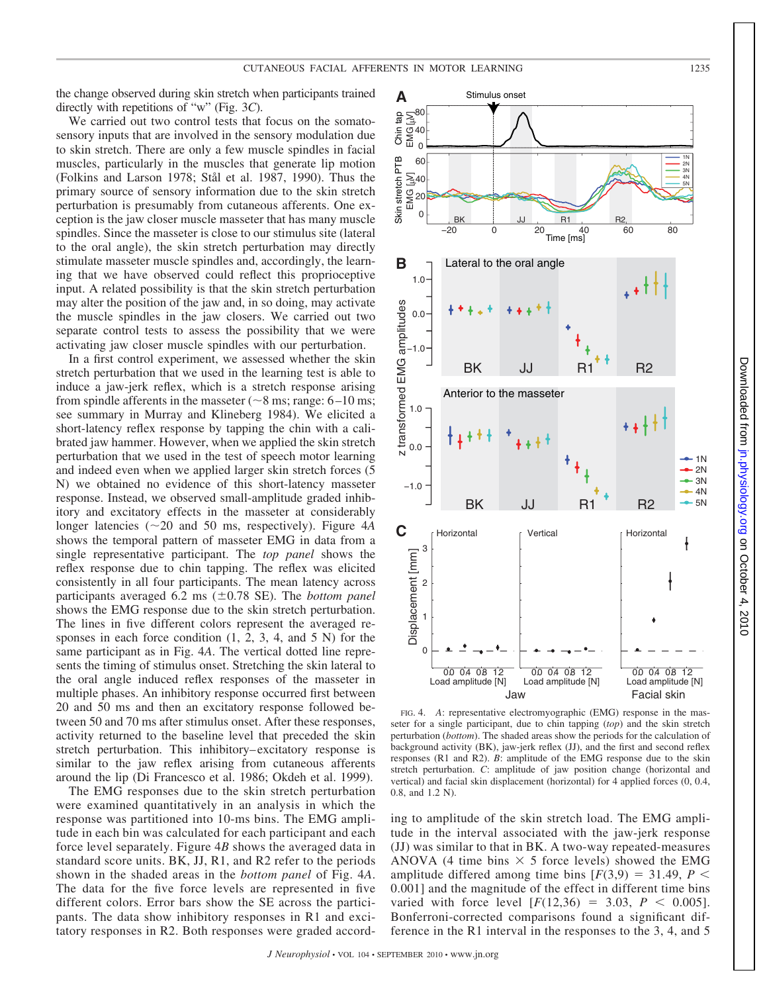the change observed during skin stretch when participants trained directly with repetitions of "w" (Fig. 3*C*).

We carried out two control tests that focus on the somatosensory inputs that are involved in the sensory modulation due to skin stretch. There are only a few muscle spindles in facial muscles, particularly in the muscles that generate lip motion (Folkins and Larson 1978; Stål et al. 1987, 1990). Thus the primary source of sensory information due to the skin stretch perturbation is presumably from cutaneous afferents. One exception is the jaw closer muscle masseter that has many muscle spindles. Since the masseter is close to our stimulus site (lateral to the oral angle), the skin stretch perturbation may directly stimulate masseter muscle spindles and, accordingly, the learning that we have observed could reflect this proprioceptive input. A related possibility is that the skin stretch perturbation may alter the position of the jaw and, in so doing, may activate the muscle spindles in the jaw closers. We carried out two separate control tests to assess the possibility that we were activating jaw closer muscle spindles with our perturbation.

In a first control experiment, we assessed whether the skin stretch perturbation that we used in the learning test is able to induce a jaw-jerk reflex, which is a stretch response arising from spindle afferents in the masseter ( $\sim$ 8 ms; range: 6–10 ms; see summary in Murray and Klineberg 1984). We elicited a short-latency reflex response by tapping the chin with a calibrated jaw hammer. However, when we applied the skin stretch perturbation that we used in the test of speech motor learning and indeed even when we applied larger skin stretch forces (5 N) we obtained no evidence of this short-latency masseter response. Instead, we observed small-amplitude graded inhibitory and excitatory effects in the masseter at considerably longer latencies ( $\sim$ 20 and 50 ms, respectively). Figure 4*A* shows the temporal pattern of masseter EMG in data from a single representative participant. The *top panel* shows the reflex response due to chin tapping. The reflex was elicited consistently in all four participants. The mean latency across participants averaged  $6.2 \text{ ms } (\pm 0.78 \text{ SE})$ . The *bottom panel* shows the EMG response due to the skin stretch perturbation. The lines in five different colors represent the averaged responses in each force condition  $(1, 2, 3, 4, \text{ and } 5 \text{ N})$  for the same participant as in Fig. 4*A*. The vertical dotted line represents the timing of stimulus onset. Stretching the skin lateral to the oral angle induced reflex responses of the masseter in multiple phases. An inhibitory response occurred first between 20 and 50 ms and then an excitatory response followed between 50 and 70 ms after stimulus onset. After these responses, activity returned to the baseline level that preceded the skin stretch perturbation. This inhibitory– excitatory response is similar to the jaw reflex arising from cutaneous afferents around the lip (Di Francesco et al. 1986; Okdeh et al. 1999).

The EMG responses due to the skin stretch perturbation were examined quantitatively in an analysis in which the response was partitioned into 10-ms bins. The EMG amplitude in each bin was calculated for each participant and each force level separately. Figure 4*B* shows the averaged data in standard score units. BK, JJ, R1, and R2 refer to the periods shown in the shaded areas in the *bottom panel* of Fig. 4*A*. The data for the five force levels are represented in five different colors. Error bars show the SE across the participants. The data show inhibitory responses in R1 and excitatory responses in R2. Both responses were graded accord-



FIG. 4. *A*: representative electromyographic (EMG) response in the masseter for a single participant, due to chin tapping (*top*) and the skin stretch perturbation (*bottom*). The shaded areas show the periods for the calculation of background activity (BK), jaw-jerk reflex (JJ), and the first and second reflex responses (R1 and R2). *B*: amplitude of the EMG response due to the skin stretch perturbation. *C*: amplitude of jaw position change (horizontal and vertical) and facial skin displacement (horizontal) for 4 applied forces (0, 0.4, 0.8, and 1.2 N).

ing to amplitude of the skin stretch load. The EMG amplitude in the interval associated with the jaw-jerk response (JJ) was similar to that in BK. A two-way repeated-measures ANOVA (4 time bins  $\times$  5 force levels) showed the EMG amplitude differed among time bins  $[F(3,9) = 31.49, P <$ 0.001] and the magnitude of the effect in different time bins varied with force level  $[F(12,36) = 3.03, P < 0.005]$ . Bonferroni-corrected comparisons found a significant difference in the R1 interval in the responses to the 3, 4, and 5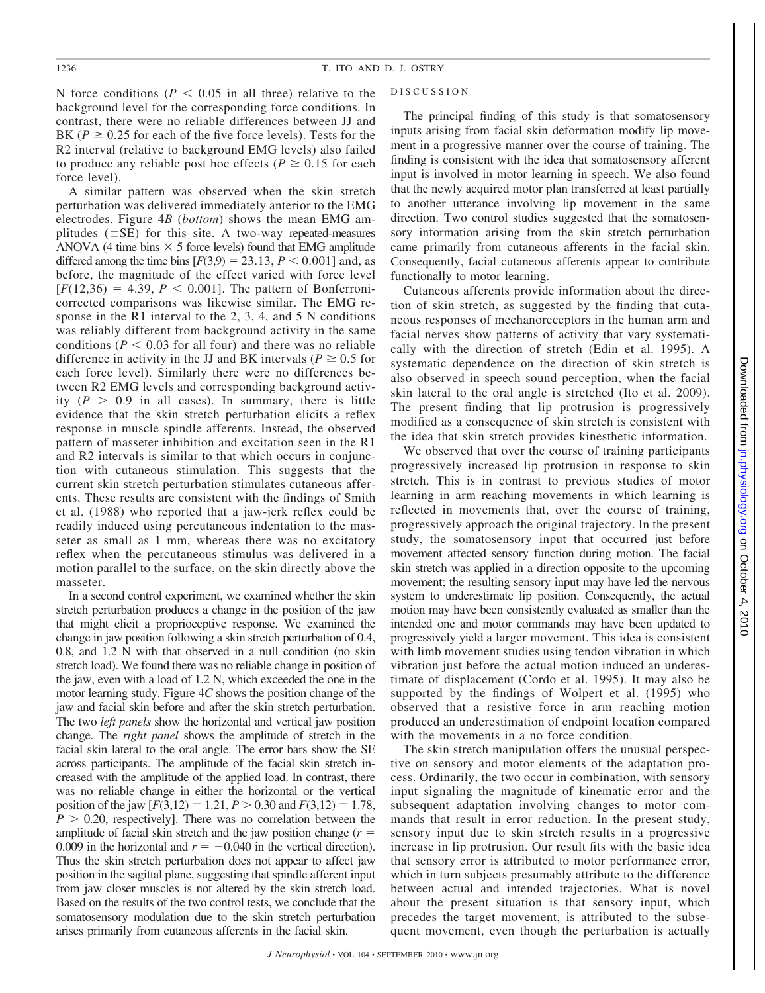N force conditions ( $P < 0.05$  in all three) relative to the background level for the corresponding force conditions. In contrast, there were no reliable differences between JJ and BK ( $P \ge 0.25$  for each of the five force levels). Tests for the R2 interval (relative to background EMG levels) also failed to produce any reliable post hoc effects ( $P \ge 0.15$  for each force level).

A similar pattern was observed when the skin stretch perturbation was delivered immediately anterior to the EMG electrodes. Figure 4*B* (*bottom*) shows the mean EMG amplitudes  $(\pm SE)$  for this site. A two-way repeated-measures ANOVA (4 time bins  $\times$  5 force levels) found that EMG amplitude differed among the time bins  $[F(3,9) = 23.13, P \le 0.001]$  and, as before, the magnitude of the effect varied with force level  $[F(12,36) = 4.39, P < 0.001]$ . The pattern of Bonferronicorrected comparisons was likewise similar. The EMG response in the R1 interval to the 2, 3, 4, and 5 N conditions was reliably different from background activity in the same conditions ( $P < 0.03$  for all four) and there was no reliable difference in activity in the JJ and BK intervals ( $P \ge 0.5$  for each force level). Similarly there were no differences between R2 EMG levels and corresponding background activity  $(P > 0.9$  in all cases). In summary, there is little evidence that the skin stretch perturbation elicits a reflex response in muscle spindle afferents. Instead, the observed pattern of masseter inhibition and excitation seen in the R1 and R2 intervals is similar to that which occurs in conjunction with cutaneous stimulation. This suggests that the current skin stretch perturbation stimulates cutaneous afferents. These results are consistent with the findings of Smith et al. (1988) who reported that a jaw-jerk reflex could be readily induced using percutaneous indentation to the masseter as small as 1 mm, whereas there was no excitatory reflex when the percutaneous stimulus was delivered in a motion parallel to the surface, on the skin directly above the masseter.

In a second control experiment, we examined whether the skin stretch perturbation produces a change in the position of the jaw that might elicit a proprioceptive response. We examined the change in jaw position following a skin stretch perturbation of 0.4, 0.8, and 1.2 N with that observed in a null condition (no skin stretch load). We found there was no reliable change in position of the jaw, even with a load of 1.2 N, which exceeded the one in the motor learning study. Figure 4*C* shows the position change of the jaw and facial skin before and after the skin stretch perturbation. The two *left panels* show the horizontal and vertical jaw position change. The *right panel* shows the amplitude of stretch in the facial skin lateral to the oral angle. The error bars show the SE across participants. The amplitude of the facial skin stretch increased with the amplitude of the applied load. In contrast, there was no reliable change in either the horizontal or the vertical position of the jaw  $[F(3,12) = 1.21, P > 0.30 \text{ and } F(3,12) = 1.78,$  $P > 0.20$ , respectively]. There was no correlation between the amplitude of facial skin stretch and the jaw position change (*r* 0.009 in the horizontal and  $r = -0.040$  in the vertical direction). Thus the skin stretch perturbation does not appear to affect jaw position in the sagittal plane, suggesting that spindle afferent input from jaw closer muscles is not altered by the skin stretch load. Based on the results of the two control tests, we conclude that the somatosensory modulation due to the skin stretch perturbation arises primarily from cutaneous afferents in the facial skin.

#### DISCUSSION

The principal finding of this study is that somatosensory inputs arising from facial skin deformation modify lip movement in a progressive manner over the course of training. The finding is consistent with the idea that somatosensory afferent input is involved in motor learning in speech. We also found that the newly acquired motor plan transferred at least partially to another utterance involving lip movement in the same direction. Two control studies suggested that the somatosensory information arising from the skin stretch perturbation came primarily from cutaneous afferents in the facial skin. Consequently, facial cutaneous afferents appear to contribute functionally to motor learning.

Cutaneous afferents provide information about the direction of skin stretch, as suggested by the finding that cutaneous responses of mechanoreceptors in the human arm and facial nerves show patterns of activity that vary systematically with the direction of stretch (Edin et al. 1995). A systematic dependence on the direction of skin stretch is also observed in speech sound perception, when the facial skin lateral to the oral angle is stretched (Ito et al. 2009). The present finding that lip protrusion is progressively modified as a consequence of skin stretch is consistent with the idea that skin stretch provides kinesthetic information.

We observed that over the course of training participants progressively increased lip protrusion in response to skin stretch. This is in contrast to previous studies of motor learning in arm reaching movements in which learning is reflected in movements that, over the course of training, progressively approach the original trajectory. In the present study, the somatosensory input that occurred just before movement affected sensory function during motion. The facial skin stretch was applied in a direction opposite to the upcoming movement; the resulting sensory input may have led the nervous system to underestimate lip position. Consequently, the actual motion may have been consistently evaluated as smaller than the intended one and motor commands may have been updated to progressively yield a larger movement. This idea is consistent with limb movement studies using tendon vibration in which vibration just before the actual motion induced an underestimate of displacement (Cordo et al. 1995). It may also be supported by the findings of Wolpert et al. (1995) who observed that a resistive force in arm reaching motion produced an underestimation of endpoint location compared with the movements in a no force condition.

The skin stretch manipulation offers the unusual perspective on sensory and motor elements of the adaptation process. Ordinarily, the two occur in combination, with sensory input signaling the magnitude of kinematic error and the subsequent adaptation involving changes to motor commands that result in error reduction. In the present study, sensory input due to skin stretch results in a progressive increase in lip protrusion. Our result fits with the basic idea that sensory error is attributed to motor performance error, which in turn subjects presumably attribute to the difference between actual and intended trajectories. What is novel about the present situation is that sensory input, which precedes the target movement, is attributed to the subsequent movement, even though the perturbation is actually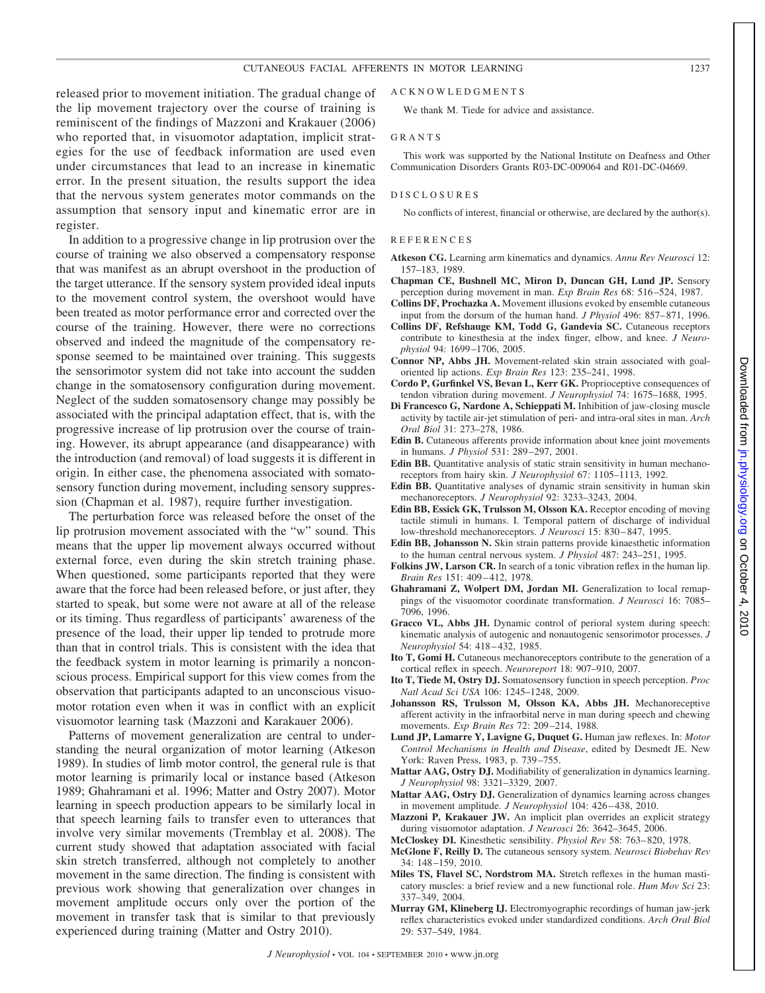released prior to movement initiation. The gradual change of the lip movement trajectory over the course of training is reminiscent of the findings of Mazzoni and Krakauer (2006) who reported that, in visuomotor adaptation, implicit strategies for the use of feedback information are used even under circumstances that lead to an increase in kinematic error. In the present situation, the results support the idea that the nervous system generates motor commands on the assumption that sensory input and kinematic error are in register.

In addition to a progressive change in lip protrusion over the course of training we also observed a compensatory response that was manifest as an abrupt overshoot in the production of the target utterance. If the sensory system provided ideal inputs to the movement control system, the overshoot would have been treated as motor performance error and corrected over the course of the training. However, there were no corrections observed and indeed the magnitude of the compensatory response seemed to be maintained over training. This suggests the sensorimotor system did not take into account the sudden change in the somatosensory configuration during movement. Neglect of the sudden somatosensory change may possibly be associated with the principal adaptation effect, that is, with the progressive increase of lip protrusion over the course of training. However, its abrupt appearance (and disappearance) with the introduction (and removal) of load suggests it is different in origin. In either case, the phenomena associated with somatosensory function during movement, including sensory suppression (Chapman et al. 1987), require further investigation.

The perturbation force was released before the onset of the lip protrusion movement associated with the "w" sound. This means that the upper lip movement always occurred without external force, even during the skin stretch training phase. When questioned, some participants reported that they were aware that the force had been released before, or just after, they started to speak, but some were not aware at all of the release or its timing. Thus regardless of participants' awareness of the presence of the load, their upper lip tended to protrude more than that in control trials. This is consistent with the idea that the feedback system in motor learning is primarily a nonconscious process. Empirical support for this view comes from the observation that participants adapted to an unconscious visuomotor rotation even when it was in conflict with an explicit visuomotor learning task (Mazzoni and Karakauer 2006).

Patterns of movement generalization are central to understanding the neural organization of motor learning (Atkeson 1989). In studies of limb motor control, the general rule is that motor learning is primarily local or instance based (Atkeson 1989; Ghahramani et al. 1996; Matter and Ostry 2007). Motor learning in speech production appears to be similarly local in that speech learning fails to transfer even to utterances that involve very similar movements (Tremblay et al. 2008). The current study showed that adaptation associated with facial skin stretch transferred, although not completely to another movement in the same direction. The finding is consistent with previous work showing that generalization over changes in movement amplitude occurs only over the portion of the movement in transfer task that is similar to that previously experienced during training (Matter and Ostry 2010).

#### ACKNOWLEDGMENTS

We thank M. Tiede for advice and assistance.

#### GRANTS

This work was supported by the National Institute on Deafness and Other Communication Disorders Grants R03-DC-009064 and R01-DC-04669.

#### DISCLOSURES

No conflicts of interest, financial or otherwise, are declared by the author(s).

#### REFERENCES

- **Atkeson CG.** Learning arm kinematics and dynamics. *Annu Rev Neurosci* 12: 157–183, 1989.
- **Chapman CE, Bushnell MC, Miron D, Duncan GH, Lund JP.** Sensory perception during movement in man. *Exp Brain Res* 68: 516 –524, 1987.
- **Collins DF, Prochazka A.** Movement illusions evoked by ensemble cutaneous input from the dorsum of the human hand. *J Physiol* 496: 857– 871, 1996.
- **Collins DF, Refshauge KM, Todd G, Gandevia SC.** Cutaneous receptors contribute to kinesthesia at the index finger, elbow, and knee. *J Neurophysiol* 94: 1699 –1706, 2005.
- **Connor NP, Abbs JH.** Movement-related skin strain associated with goaloriented lip actions. *Exp Brain Res* 123: 235–241, 1998.
- **Cordo P, Gurfinkel VS, Bevan L, Kerr GK.** Proprioceptive consequences of tendon vibration during movement. *J Neurophysiol* 74: 1675–1688, 1995.
- **Di Francesco G, Nardone A, Schieppati M.** Inhibition of jaw-closing muscle activity by tactile air-jet stimulation of peri- and intra-oral sites in man. *Arch Oral Biol* 31: 273–278, 1986.
- **Edin B.** Cutaneous afferents provide information about knee joint movements in humans. *J Physiol* 531: 289 –297, 2001.
- **Edin BB.** Quantitative analysis of static strain sensitivity in human mechanoreceptors from hairy skin. *J Neurophysiol* 67: 1105–1113, 1992.
- **Edin BB.** Quantitative analyses of dynamic strain sensitivity in human skin mechanoreceptors. *J Neurophysiol* 92: 3233–3243, 2004.
- **Edin BB, Essick GK, Trulsson M, Olsson KA.** Receptor encoding of moving tactile stimuli in humans. I. Temporal pattern of discharge of individual low-threshold mechanoreceptors. *J Neurosci* 15: 830 – 847, 1995.
- **Edin BB, Johansson N.** Skin strain patterns provide kinaesthetic information to the human central nervous system. *J Physiol* 487: 243–251, 1995.
- **Folkins JW, Larson CR.** In search of a tonic vibration reflex in the human lip. *Brain Res* 151: 409 – 412, 1978.
- **Ghahramani Z, Wolpert DM, Jordan MI.** Generalization to local remappings of the visuomotor coordinate transformation. *J Neurosci* 16: 7085– 7096, 1996.
- **Gracco VL, Abbs JH.** Dynamic control of perioral system during speech: kinematic analysis of autogenic and nonautogenic sensorimotor processes. *J Neurophysiol* 54: 418 – 432, 1985.
- **Ito T, Gomi H.** Cutaneous mechanoreceptors contribute to the generation of a cortical reflex in speech. *Neuroreport* 18: 907–910, 2007.
- **Ito T, Tiede M, Ostry DJ.** Somatosensory function in speech perception. *Proc Natl Acad Sci USA* 106: 1245–1248, 2009.
- **Johansson RS, Trulsson M, Olsson KA, Abbs JH.** Mechanoreceptive afferent activity in the infraorbital nerve in man during speech and chewing movements. *Exp Brain Res* 72: 209 –214, 1988.
- **Lund JP, Lamarre Y, Lavigne G, Duquet G.** Human jaw reflexes. In: *Motor Control Mechanisms in Health and Disease*, edited by Desmedt JE. New York: Raven Press, 1983, p. 739 –755.
- **Mattar AAG, Ostry DJ.** Modifiability of generalization in dynamics learning. *J Neurophysiol* 98: 3321–3329, 2007.
- **Mattar AAG, Ostry DJ.** Generalization of dynamics learning across changes in movement amplitude. *J Neurophysiol* 104: 426 – 438, 2010.
- **Mazzoni P, Krakauer JW.** An implicit plan overrides an explicit strategy during visuomotor adaptation. *J Neurosci* 26: 3642–3645, 2006.
- **McCloskey DI.** Kinesthetic sensibility. *Physiol Rev* 58: 763– 820, 1978.
- **McGlone F, Reilly D.** The cutaneous sensory system. *Neurosci Biobehav Rev* 34: 148 –159, 2010.
- **Miles TS, Flavel SC, Nordstrom MA.** Stretch reflexes in the human masticatory muscles: a brief review and a new functional role. *Hum Mov Sci* 23: 337–349, 2004.
- **Murray GM, Klineberg IJ.** Electromyographic recordings of human jaw-jerk reflex characteristics evoked under standardized conditions. *Arch Oral Biol* 29: 537–549, 1984.